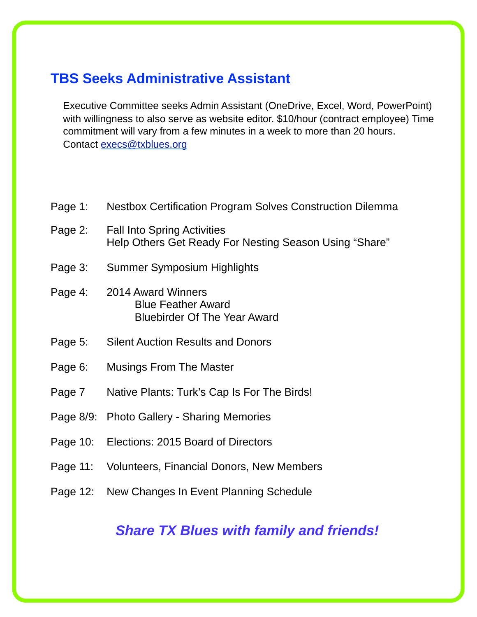### **TBS Seeks Administrative Assistant**

Executive Committee seeks Admin Assistant (OneDrive, Excel, Word, PowerPoint) with willingness to also serve as website editor. \$10/hour (contract employee) Time commitment will vary from a few minutes in a week to more than 20 hours. Contact [execs@txblues.org](mailto:execs@txblues.org)

- Page 1: Nestbox Certification Program Solves Construction Dilemma Page 2: Fall Into Spring Activities Help Others Get Ready For Nesting Season Using "Share" Page 3: Summer Symposium Highlights Page 4: 2014 Award Winners Blue Feather Award Bluebirder Of The Year Award Page 5: Silent Auction Results and Donors Page 6: Musings From The Master Page 7 Native Plants: Turk's Cap Is For The Birds! Page 8/9: Photo Gallery - Sharing Memories Page 10: Elections: 2015 Board of Directors Page 11: Volunteers, Financial Donors, New Members
- Page 12: New Changes In Event Planning Schedule

### **Share TX Blues with family and friends!**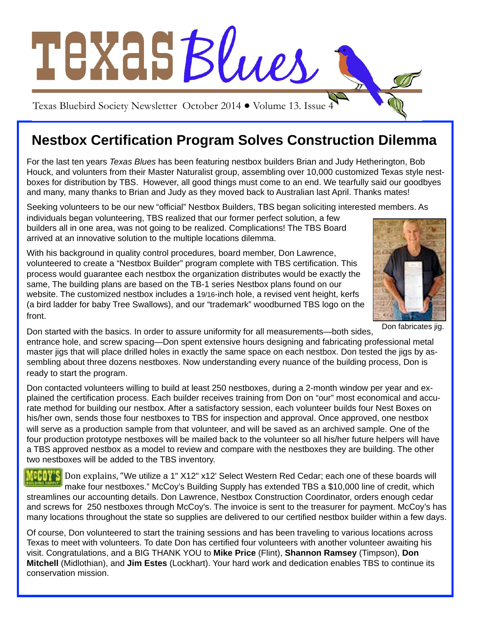

# **Nestbox Certification Program Solves Construction Dilemma**

For the last ten years Texas Blues has been featuring nestbox builders Brian and Judy Hetherington, Bob Houck, and volunters from their Master Naturalist group, assembling over 10,000 customized Texas style nestboxes for distribution by TBS. However, all good things must come to an end. We tearfully said our goodbyes and many, many thanks to Brian and Judy as they moved back to Australian last April. Thanks mates!

Seeking volunteers to be our new "official" Nestbox Builders, TBS began soliciting interested members. As

individuals began volunteering, TBS realized that our former perfect solution, a few builders all in one area, was not going to be realized. Complications! The TBS Board arrived at an innovative solution to the multiple locations dilemma.

With his background in quality control procedures, board member, Don Lawrence, volunteered to create a "Nestbox Builder" program complete with TBS certification. This process would guarantee each nestbox the organization distributes would be exactly the same, The building plans are based on the TB-1 series Nestbox plans found on our website. The customized nestbox includes a 19/16-inch hole, a revised vent height, kerfs (a bird ladder for baby Tree Swallows), and our "trademark" woodburned TBS logo on the front.



Don fabricates jig.

Don started with the basics. In order to assure uniformity for all measurements—both sides, entrance hole, and screw spacing—Don spent extensive hours designing and fabricating professional metal master jigs that will place drilled holes in exactly the same space on each nestbox. Don tested the jigs by assembling about three dozens nestboxes. Now understanding every nuance of the building process, Don is ready to start the program.

Don contacted volunteers willing to build at least 250 nestboxes, during a 2-month window per year and explained the certification process. Each builder receives training from Don on "our" most economical and accurate method for building our nestbox. After a satisfactory session, each volunteer builds four Nest Boxes on his/her own, sends those four nestboxes to TBS for inspection and approval. Once approved, one nestbox will serve as a production sample from that volunteer, and will be saved as an archived sample. One of the four production prototype nestboxes will be mailed back to the volunteer so all his/her future helpers will have a TBS approved nestbox as a model to review and compare with the nestboxes they are building. The other two nestboxes will be added to the TBS inventory.

**DHIWA** Don explains, "We utilize a 1" X12" x12' Select Western Red Cedar; each one of these boards will make four nestboxes." McCoy's Building Supply has extended TBS a \$10,000 line of credit, which streamlines our accounting details. Don Lawrence, Nestbox Construction Coordinator, orders enough cedar and screws for 250 nestboxes through McCoy's. The invoice is sent to the treasurer for payment. McCoy's has many locations throughout the state so supplies are delivered to our certified nestbox builder within a few days.

Of course, Don volunteered to start the training sessions and has been traveling to various locations across Texas to meet with volunteers. To date Don has certified four volunteers with another volunteer awaiting his visit. Congratulations, and a BIG THANK YOU to **Mike Price** (Flint), **Shannon Ramsey** (Timpson), **Don Mitchell** (Midlothian), and **Jim Estes** (Lockhart). Your hard work and dedication enables TBS to continue its conservation mission.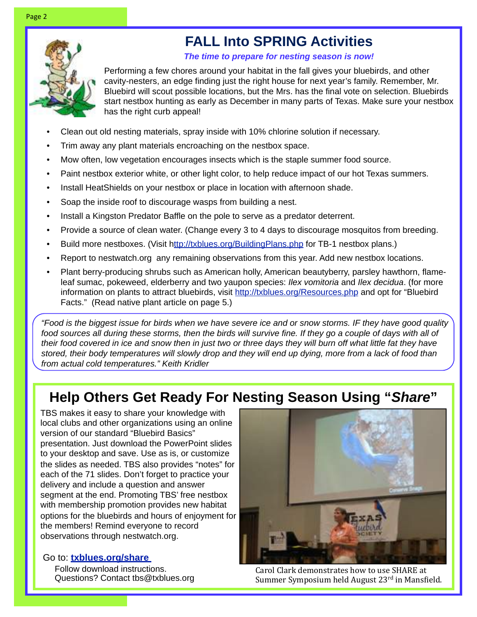# **FALL Into SPRING Activities**

**The time to prepare for nesting season is now!**

Performing a few chores around your habitat in the fall gives your bluebirds, and other cavity-nesters, an edge finding just the right house for next year's family. Remember, Mr. Bluebird will scout possible locations, but the Mrs. has the final vote on selection. Bluebirds start nestbox hunting as early as December in many parts of Texas. Make sure your nestbox has the right curb appeal!

- Clean out old nesting materials, spray inside with 10% chlorine solution if necessary.
- Trim away any plant materials encroaching on the nestbox space.
- Mow often, low vegetation encourages insects which is the staple summer food source.
- Paint nestbox exterior white, or other light color, to help reduce impact of our hot Texas summers.
- Install HeatShields on your nestbox or place in location with afternoon shade.
- Soap the inside roof to discourage wasps from building a nest.
- Install a Kingston Predator Baffle on the pole to serve as a predator deterrent.
- Provide a source of clean water. (Change every 3 to 4 days to discourage mosquitos from breeding.
- Build more nestboxes. (Visit [http://txblues.org/BuildingPlans.php](http://ttp://txblues.org/BuildingPlans.php) for TB-1 nestbox plans.)
- Report to nestwatch.org any remaining observations from this year. Add new nestbox locations.
- Plant berry-producing shrubs such as American holly, American beautyberry, parsley hawthorn, flameleaf sumac, pokeweed, elderberry and two yaupon species: Ilex vomitoria and Ilex decidua. (for more information on plants to attract bluebirds, visit<http://txblues.org/Resources.php>and opt for "Bluebird Facts." (Read native plant article on page 5.)

"Food is the biggest issue for birds when we have severe ice and or snow storms. IF they have good quality food sources all during these storms, then the birds will survive fine. If they go a couple of days with all of their food covered in ice and snow then in just two or three days they will burn off what little fat they have stored, their body temperatures will slowly drop and they will end up dying, more from a lack of food than from actual cold temperatures." Keith Kridler

# **Help Others Get Ready For Nesting Season Using "Share"**

TBS makes it easy to share your knowledge with local clubs and other organizations using an online version of our standard "Bluebird Basics" presentation. Just download the PowerPoint slides to your desktop and save. Use as is, or customize the slides as needed. TBS also provides "notes" for each of the 71 slides. Don't forget to practice your delivery and include a question and answer segment at the end. Promoting TBS' free nestbox with membership promotion provides new habitat options for the bluebirds and hours of enjoyment for the members! Remind everyone to record observations through nestwatch.org.

Go to: **[txblues.org/share](http://livepage.apple.com/)**  Follow download instructions. Questions? Contact tbs@txblues.org



Carol Clark demonstrates how to use SHARE at Summer Symposium held August 23rd in Mansfield.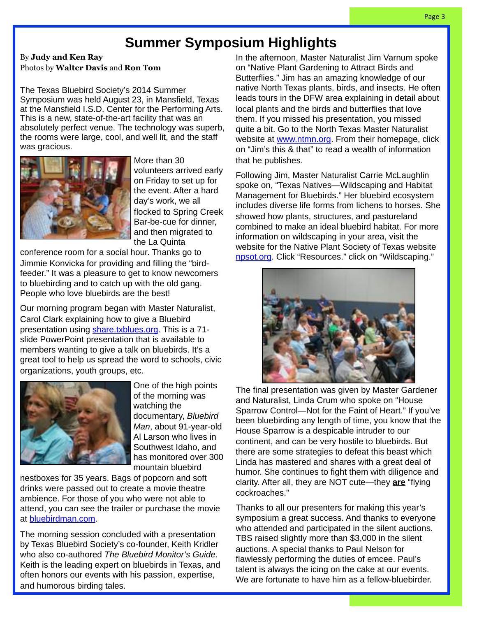# **Summer Symposium Highlights**

By **Judy and Ken Ray** Photos by **Walter Davis** and **Ron Tom**

The Texas Bluebird Society's 2014 Summer Symposium was held August 23, in Mansfield, Texas at the Mansfield I.S.D. Center for the Performing Arts. This is a new, state-of-the-art facility that was an absolutely perfect venue. The technology was superb, the rooms were large, cool, and well lit, and the staff was gracious.



More than 30 volunteers arrived early on Friday to set up for the event. After a hard day's work, we all flocked to Spring Creek Bar-be-cue for dinner, and then migrated to the La Quinta

conference room for a social hour. Thanks go to Jimmie Konvicka for providing and filling the "birdfeeder." It was a pleasure to get to know newcomers to bluebirding and to catch up with the old gang. People who love bluebirds are the best!

Our morning program began with Master Naturalist, Carol Clark explaining how to give a Bluebird presentation using **share.txblues.org**. This is a 71slide PowerPoint presentation that is available to members wanting to give a talk on bluebirds. It's a great tool to help us spread the word to schools, civic organizations, youth groups, etc.



One of the high points of the morning was watching the documentary, Bluebird Man, about 91-year-old Al Larson who lives in Southwest Idaho, and has monitored over 300 mountain bluebird

nestboxes for 35 years. Bags of popcorn and soft drinks were passed out to create a movie theatre ambience. For those of you who were not able to attend, you can see the trailer or purchase the movie at [bluebirdman.com.](http://www.bluebirdman.com)

T[he morning session](http://www.bluebirdman.com) concluded with a presentation by Texas Bluebird Society's co-founder, Keith Kridler who also co-authored The Bluebird Monitor's Guide. Keith is the leading expert on bluebirds in Texas, and often honors our events with his passion, expertise, and humorous birding tales.

In the afternoon, Master Naturalist Jim Varnum spoke on "Native Plant Gardening to Attract Birds and Butterflies." Jim has an amazing knowledge of our native North Texas plants, birds, and insects. He often leads tours in the DFW area explaining in detail about local plants and the birds and butterflies that love them. If you missed his presentation, you missed quite a bit. Go to the North Texas Master Naturalist website at [www.ntmn.org.](http://www.ntmn.org) From their homepage, click on "Jim's this & that" to read a wealth of information that he publishes.

Following Jim, Master Naturalist Carrie McLaughlin spoke on, "Texas Natives—Wildscaping and Habitat Management for Bluebirds." Her bluebird ecosystem includes diverse life forms from lichens to horses. She showed how plants, structures, and pastureland combined to make an ideal bluebird habitat. For more information on wildscaping in your area, visit the website for the Native Plant Society of Texas website [npsot.org.](http://www.npsot.org) Click "Resources." click on "Wildscaping."



The final presentation was given by Master Gardener and Naturalist, Linda Crum who spoke on "House Sparrow Control—Not for the Faint of Heart." If you've been bluebirding any length of time, you know that the House Sparrow is a despicable intruder to our continent, and can be very hostile to bluebirds. But there are some strategies to defeat this beast which Linda has mastered and shares with a great deal of humor. She continues to fight them with diligence and clarity. After all, they are NOT cute—they **are** "flying cockroaches."

Thanks to all our presenters for making this year's symposium a great success. And thanks to everyone who attended and participated in the silent auctions. TBS raised slightly more than \$3,000 in the silent auctions. A special thanks to Paul Nelson for flawlessly performing the duties of emcee. Paul's talent is always the icing on the cake at our events. We are fortunate to have him as a fellow-bluebirder.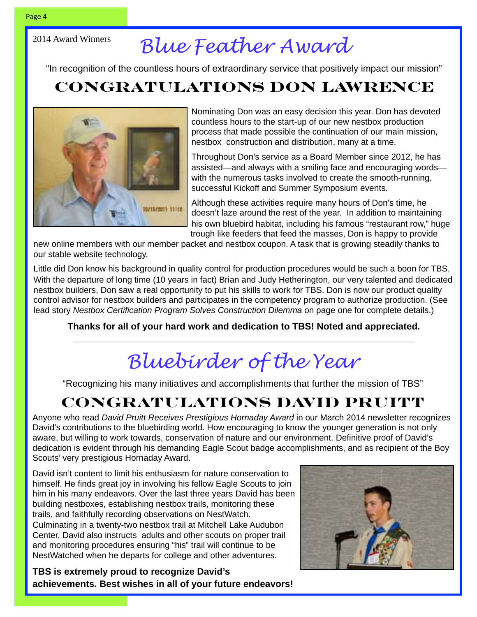#### 2014 Award Winners

# *Blue Feather Award*

"In recognition of the countless hours of extraordinary service that positively impact our mission"

# **Congratulations Don Lawrence**



Nominating Don was an easy decision this year. Don has devoted countless hours to the start-up of our new nestbox production process that made possible the continuation of our main mission, nestbox construction and distribution, many at a time.

Throughout Don's service as a Board Member since 2012, he has assisted—and always with a smiling face and encouraging words with the numerous tasks involved to create the smooth-running, successful Kickoff and Summer Symposium events.

Although these activities require many hours of Don's time, he doesn't laze around the rest of the year. In addition to maintaining his own bluebird habitat, including his famous "restaurant row," huge trough like feeders that feed the masses, Don is happy to provide

new online members with our member packet and nestbox coupon. A task that is growing steadily thanks to our stable website technology.

Little did Don know his background in quality control for production procedures would be such a boon for TBS. With the departure of long time (10 years in fact) Brian and Judy Hetherington, our very talented and dedicated nestbox builders, Don saw a real opportunity to put his skills to work for TBS. Don is now our product quality control advisor for nestbox builders and participates in the competency program to authorize production. (See lead story Nestbox Certification Program Solves Construction Dilemma on page one for complete details.)

**Thanks for all of your hard work and dedication to TBS! Noted and appreciated.**

# *Bluebirder of the Year*

"Recognizing his many initiatives and accomplishments that further the mission of TBS"

# **Congratulations David Pruitt**

Anyone who read David Pruitt Receives Prestigious Hornaday Award in our March 2014 newsletter recognizes David's contributions to the bluebirding world. How encouraging to know the younger generation is not only aware, but willing to work towards, conservation of nature and our environment. Definitive proof of David's dedication is evident through his demanding Eagle Scout badge accomplishments, and as recipient of the Boy Scouts' very prestigious Hornaday Award.

David isn't content to limit his enthusiasm for nature conservation to himself. He finds great joy in involving his fellow Eagle Scouts to join him in his many endeavors. Over the last three years David has been building nestboxes, establishing nestbox trails, monitoring these trails, and faithfully recording observations on NestWatch. Culminating in a twenty-two nestbox trail at Mitchell Lake Audubon Center, David also instructs adults and other scouts on proper trail and monitoring procedures ensuring "his" trail will continue to be NestWatched when he departs for college and other adventures.

**TBS is extremely proud to recognize David's achievements. Best wishes in all of your future endeavors!** 

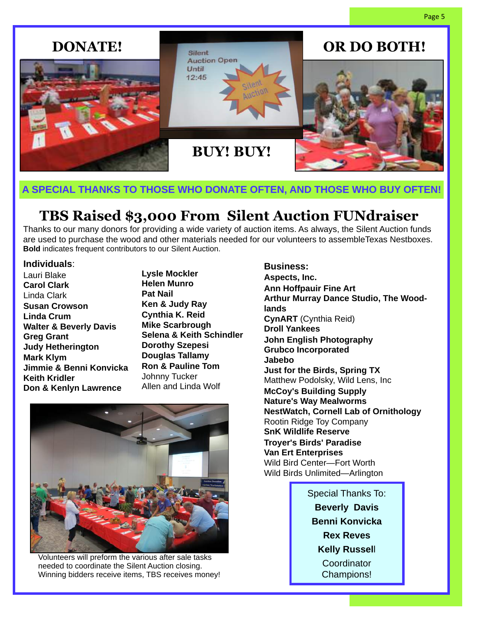

#### **A SPECIAL THANKS TO THOSE WHO DONATE OFTEN, AND THOSE WHO BUY OFTEN!**

# **TBS Raised \$3,000 From Silent Auction FUNdraiser**

Thanks to our many donors for providing a wide variety of auction items. As always, the Silent Auction funds are used to purchase the wood and other materials needed for our volunteers to assembleTexas Nestboxes. **Bold** indicates frequent contributors to our Silent Auction.

#### **Individuals**:

Lauri Blake **Carol Clark** Linda Clark **Susan Crowson Linda Crum Walter & Beverly Davis Greg Grant Judy Hetherington Mark Klym Jimmie & Benni Konvicka Keith Kridler Don & Kenlyn Lawrence**

**Lysle Mockler Helen Munro Pat Nail Ken & Judy Ray Cynthia K. Reid Mike Scarbrough Selena & Keith Schindler Dorothy Szepesi Douglas Tallamy Ron & Pauline Tom** Johnny Tucker Allen and Linda Wolf



Volunteers will preform the various after sale tasks needed to coordinate the Silent Auction closing. Winning bidders receive items, TBS receives money!

#### **Business:**

**Aspects, Inc. Ann Hoffpauir Fine Art Arthur Murray Dance Studio, The Woodlands CynART** (Cynthia Reid) **Droll Yankees John English Photography Grubco Incorporated Jabebo Just for the Birds, Spring TX** Matthew Podolsky, Wild Lens, Inc **McCoy's Building Supply Nature's Way Mealworms NestWatch, Cornell Lab of Ornithology** Rootin Ridge Toy Company **SnK Wildlife Reserve Troyer's Birds' Paradise Van Ert Enterprises** Wild Bird Center—Fort Worth Wild Birds Unlimited—Arlington

> Special Thanks To: **Beverly Davis Benni Konvicka Rex Reves Kelly Russel**l **Coordinator** Champions!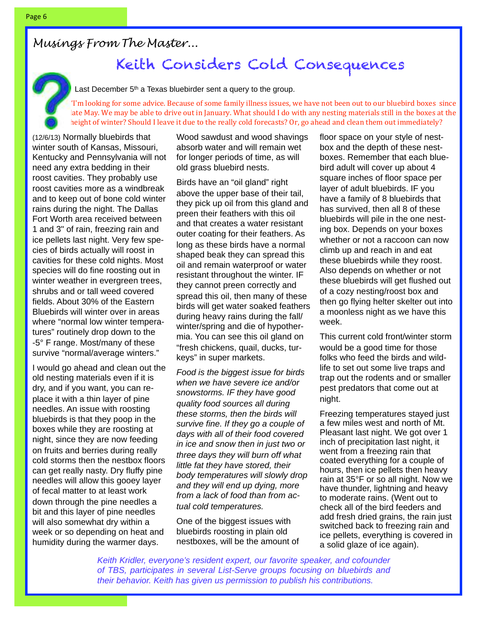# Keith Considers Cold Consequences

Last December  $5<sup>th</sup>$  a Texas bluebirder sent a query to the group.

"I'm looking for some advice. Because of some family illness issues, we have not been out to our bluebird boxes since late May. We may be able to drive out in January. What should I do with any nesting materials still in the boxes at the height of winter? Should I leave it due to the really cold forecasts? Or, go ahead and clean them out immediately?

(12/6/13) Normally bluebirds that winter south of Kansas, Missouri, Kentucky and Pennsylvania will not need any extra bedding in their roost cavities. They probably use roost cavities more as a windbreak and to keep out of bone cold winter rains during the night. The Dallas Fort Worth area received between 1 and 3" of rain, freezing rain and ice pellets last night. Very few species of birds actually will roost in cavities for these cold nights. Most species will do fine roosting out in winter weather in evergreen trees, shrubs and or tall weed covered fields. About 30% of the Eastern Bluebirds will winter over in areas where "normal low winter temperatures" routinely drop down to the -5° F range. Most/many of these survive "normal/average winters."

I would go ahead and clean out the old nesting materials even if it is dry, and if you want, you can replace it with a thin layer of pine needles. An issue with roosting bluebirds is that they poop in the boxes while they are roosting at night, since they are now feeding on fruits and berries during really cold storms then the nestbox floors can get really nasty. Dry fluffy pine needles will allow this gooey layer of fecal matter to at least work down through the pine needles a bit and this layer of pine needles will also somewhat dry within a week or so depending on heat and humidity during the warmer days.

Wood sawdust and wood shavings absorb water and will remain wet for longer periods of time, as will old grass bluebird nests.

Birds have an "oil gland" right above the upper base of their tail, they pick up oil from this gland and preen their feathers with this oil and that creates a water resistant outer coating for their feathers. As long as these birds have a normal shaped beak they can spread this oil and remain waterproof or water resistant throughout the winter. IF they cannot preen correctly and spread this oil, then many of these birds will get water soaked feathers during heavy rains during the fall/ winter/spring and die of hypothermia. You can see this oil gland on "fresh chickens, quail, ducks, turkeys" in super markets.

Food is the biggest issue for birds when we have severe ice and/or snowstorms. IF they have good quality food sources all during these storms, then the birds will survive fine. If they go a couple of days with all of their food covered in ice and snow then in just two or three days they will burn off what little fat they have stored, their body temperatures will slowly drop and they will end up dying, more from a lack of food than from actual cold temperatures.

One of the biggest issues with bluebirds roosting in plain old nestboxes, will be the amount of floor space on your style of nestbox and the depth of these nestboxes. Remember that each bluebird adult will cover up about 4 square inches of floor space per layer of adult bluebirds. IF you have a family of 8 bluebirds that has survived, then all 8 of these bluebirds will pile in the one nesting box. Depends on your boxes whether or not a raccoon can now climb up and reach in and eat these bluebirds while they roost. Also depends on whether or not these bluebirds will get flushed out of a cozy nesting/roost box and then go flying helter skelter out into a moonless night as we have this week.

This current cold front/winter storm would be a good time for those folks who feed the birds and wildlife to set out some live traps and trap out the rodents and or smaller pest predators that come out at night.

Freezing temperatures stayed just a few miles west and north of Mt. Pleasant last night. We got over 1 inch of precipitation last night, it went from a freezing rain that coated everything for a couple of hours, then ice pellets then heavy rain at 35°F or so all night. Now we have thunder, lightning and heavy to moderate rains. (Went out to check all of the bird feeders and add fresh dried grains, the rain just switched back to freezing rain and ice pellets, everything is covered in a solid glaze of ice again).

Keith Kridler, everyone's resident expert, our favorite speaker, and cofounder of TBS, participates in several List-Serve groups focusing on bluebirds and their behavior. Keith has given us permission to publish his contributions.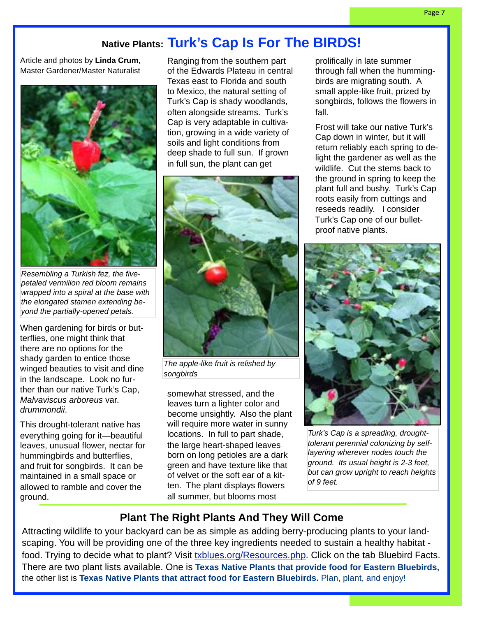## **Native Plants: Turk's Cap Is For The BIRDS!**

Article and photos by **Linda Crum**, Master Gardener/Master Naturalist



Resembling a Turkish fez, the fivepetaled vermilion red bloom remains wrapped into a spiral at the base with the elongated stamen extending beyond the partially-opened petals.

When gardening for birds or butterflies, one might think that there are no options for the shady garden to entice those winged beauties to visit and dine in the landscape. Look no further than our native Turk's Cap, Malvaviscus arboreus var. drummondii.

This drought-tolerant native has everything going for it—beautiful leaves, unusual flower, nectar for hummingbirds and butterflies, and fruit for songbirds. It can be maintained in a small space or allowed to ramble and cover the ground.

Ranging from the southern part of the Edwards Plateau in central Texas east to Florida and south to Mexico, the natural setting of Turk's Cap is shady woodlands, often alongside streams. Turk's Cap is very adaptable in cultivation, growing in a wide variety of soils and light conditions from deep shade to full sun. If grown in full sun, the plant can get



The apple-like fruit is relished by songbirds

somewhat stressed, and the leaves turn a lighter color and become unsightly. Also the plant will require more water in sunny locations. In full to part shade, the large heart-shaped leaves born on long petioles are a dark green and have texture like that of velvet or the soft ear of a kitten. The plant displays flowers all summer, but blooms most

prolifically in late summer through fall when the hummingbirds are migrating south. A small apple-like fruit, prized by songbirds, follows the flowers in fall.

Frost will take our native Turk's Cap down in winter, but it will return reliably each spring to delight the gardener as well as the wildlife. Cut the stems back to the ground in spring to keep the plant full and bushy. Turk's Cap roots easily from cuttings and reseeds readily. I consider Turk's Cap one of our bulletproof native plants.



Turk's Cap is a spreading, droughttolerant perennial colonizing by selflayering wherever nodes touch the ground. Its usual height is 2-3 feet, but can grow upright to reach heights of 9 feet.

#### **Plant The Right Plants And They Will Come**

Attracting wildlife to your backyard can be as simple as adding berry-producing plants to your landscaping. You will be providing one of the three key ingredients needed to sustain a healthy habitat food. Trying to decide what to plant? Visit [txblues.org/Resources.php.](http://livepage.apple.com/) Click on the tab Bluebird Facts. There are two plant lists available. One is **Texas Native Plants that provide food for Eastern Bluebirds,**  the other list is **Texas Native Plants that attract food for Eastern Bluebirds.** Plan, plant, and enjoy!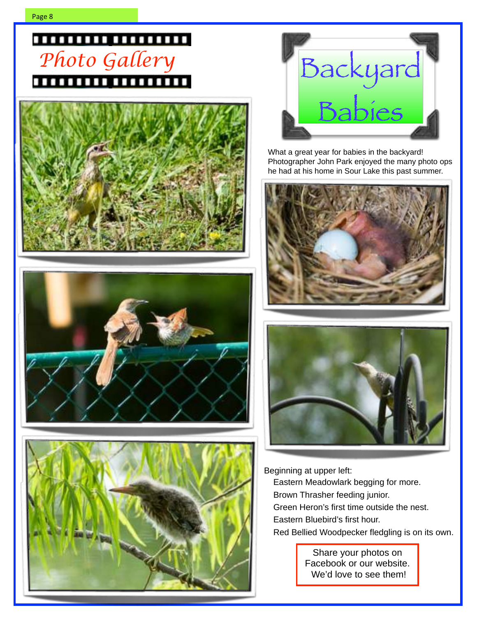# ,,,,,,,,,,,,,,,,,,,









What a great year for babies in the backyard! Photographer John Park enjoyed the many photo ops he had at his home in Sour Lake this past summer.





Beginning at upper left:

Eastern Meadowlark begging for more. Brown Thrasher feeding junior. Green Heron's first time outside the nest. Eastern Bluebird's first hour.

Red Bellied Woodpecker fledgling is on its own.

Share your photos on Facebook or our website. We'd love to see them!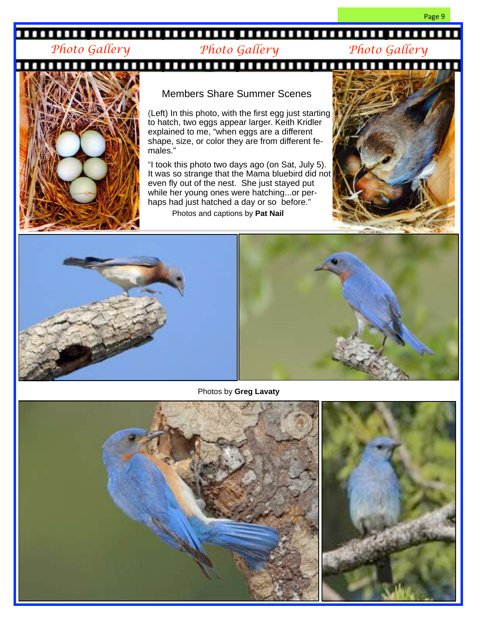### 

#### *Photo Gallery Photo Gallery Photo Gallery*

Page 9



#### Members Share Summer Scenes

(Left) In this photo, with the first egg just starting to hatch, two eggs appear larger. Keith Kridler explained to me, "when eggs are a different shape, size, or color they are from different females."

"I took this photo two days ago (on Sat, July 5). It was so strange that the Mama bluebird did not even fly out of the nest. She just stayed put while her young ones were hatching...or perhaps had just hatched a day or so before." Photos and captions by **Pat Nail**







Photos by **Greg Lavaty**

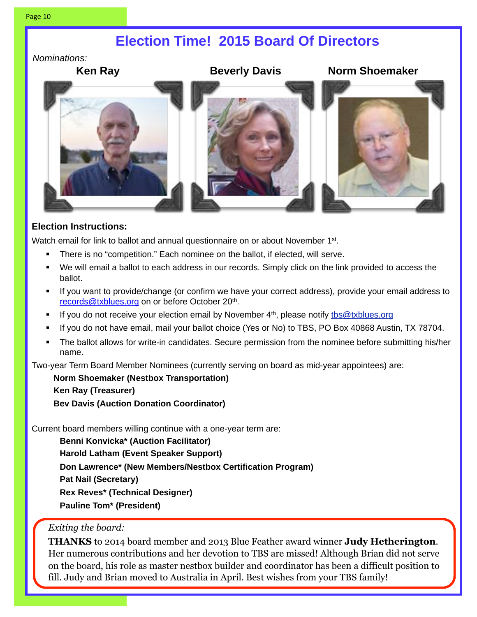## **Election Time! 2015 Board Of Directors**

Nominations:



#### **Election Instructions:**

Watch email for link to ballot and annual questionnaire on or about November 1<sup>st</sup>.

- There is no "competition." Each nominee on the ballot, if elected, will serve.
- We will email a ballot to each address in our records. Simply click on the link provided to access the ballot.
- If you want to provide/change (or confirm we have your correct address), provide your email address to [records@txblues.org](mailto:records@txblues.org) on or before October 20<sup>th</sup>.
- If you do not receive your election email by November  $4<sup>th</sup>$ , please notify the @txblues.org
- § If you do not have email, mail your ballot choice (Yes or No) to TBS, PO Box 40868 Austin, TX 78704.
- § The ballot allows for write-in candidates. Secure permission from the nominee before submitting his/her name.

Two-year Term Board Member Nominees (currently serving on board as mid-year appointees) are:

**Norm Shoemaker (Nestbox Transportation) Ken Ray (Treasurer) Bev Davis (Auction Donation Coordinator)**

Current board members willing continue with a one-year term are:

**Benni Konvicka\* (Auction Facilitator) Harold Latham (Event Speaker Support) Don Lawrence\* (New Members/Nestbox Certification Program) Pat Nail (Secretary) Rex Reves\* (Technical Designer) Pauline Tom\* (President)**

#### *Exiting the board:*

**THANKS** to 2014 board member and 2013 Blue Feather award winner **Judy Hetherington**. Her numerous contributions and her devotion to TBS are missed! Although Brian did not serve on the board, his role as master nestbox builder and coordinator has been a difficult position to fill. Judy and Brian moved to Australia in April. Best wishes from your TBS family!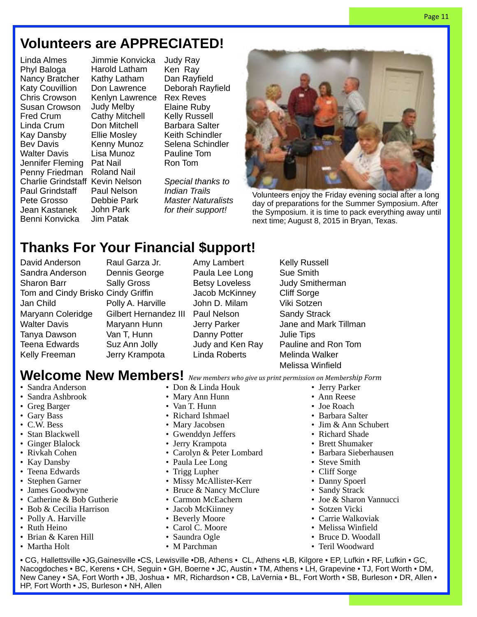# **Volunteers are APPRECIATED!**

Linda Almes Phyl Baloga Nancy Bratcher Katy Couvillion Chris Crowson Susan Crowson Fred Crum Linda Crum Kay Dansby Bev Davis Walter Davis Jennifer Fleming Penny Friedman Charlie Grindstaff Kevin Nelson Paul Grindstaff Pete Grosso Jean Kastanek Benni Konvicka

Jimmie Konvicka Harold Latham Kathy Latham Don Lawrence Kenlyn Lawrence Judy Melby Cathy Mitchell Don Mitchell Ellie Mosley Kenny Munoz Lisa Munoz Pat Nail Roland Nail Paul Nelson Debbie Park John Park Jim Patak

Judy Ray Ken Ray Dan Rayfield Deborah Rayfield Rex Reves Elaine Ruby Kelly Russell Barbara Salter Keith Schindler Selena Schindler Pauline Tom Ron Tom

Special thanks to Indian Trails Master Naturalists for their support!



Volunteers enjoy the Friday evening social after a long day of preparations for the Summer Symposium. After the Symposium. it is time to pack everything away until next time; August 8, 2015 in Bryan, Texas.

# **Thanks For Your Financial \$upport!**

David Anderson Sandra Anderson Sharon Barr Tom and Cindy Brisko Cindy Griffin Jan Child Maryann Coleridge Walter Davis Tanya Dawson Teena Edwards Kelly Freeman

Raul Garza Jr. Dennis George Sally Gross Polly A. Harville Gilbert Hernandez III Paul Nelson Maryann Hunn Van T, Hunn Suz Ann Jolly Jerry Krampota

Amy Lambert Paula Lee Long Betsy Loveless Jacob McKinney John D. Milam Jerry Parker Danny Potter Judy and Ken Ray Linda Roberts

Kelly Russell Sue Smith Judy Smitherman Cliff Sorge Viki Sotzen Sandy Strack Jane and Mark Tillman Julie Tips Pauline and Ron Tom Melinda Walker Melissa Winfield

# Welcome New Members! New members who give us print permission on Membership Form

- Sandra Anderson
- Sandra Ashbrook
- Greg Barger
- Gary Bass
- C.W. Bess
- Stan Blackwell
- Ginger Blalock
- Rivkah Cohen
- Kay Dansby
- Teena Edwards
- Stephen Garner
- James Goodwyne
- Catherine & Bob Gutherie
- Bob & Cecilia Harrison
- Polly A. Harville
- Ruth Heino
- Brian & Karen Hill
- Martha Holt
- Don & Linda Houk
- Mary Ann Hunn
- Van T. Hunn
- Richard Ishmael
- Mary Jacobsen
- Gwenddyn Jeffers
- Jerry Krampota
- Carolyn & Peter Lombard
- Paula Lee Long
- Trigg Lupher
- Missy McAllister-Kerr
- Bruce & Nancy McClure
- Carmon McEachern
- Jacob McKiinney
- Beverly Moore
- Carol C. Moore
- Saundra Ogle
- M Parchman
- Sandy Strack • Joe & Sharon Vannucci
- Sotzen Vicki

• Steve Smith • Cliff Sorge • Danny Spoerl

• Jerry Parker • Ann Reese • Joe Roach • Barbara Salter • Jim & Ann Schubert • Richard Shade • Brett Shumaker • Barbara Sieberhausen

- Carrie Walkoviak
- Melissa Winfield
- Bruce D. Woodall
- Teril Woodward

• CG, Hallettsville •JG,Gainesville •CS, Lewisville •DB, Athens • CL, Athens •LB, Kilgore • EP, Lufkin • RF, Lufkin • GC, Nacogdoches • BC, Kerens • CH, Seguin • GH, Boerne • JC, Austin • TM, Athens • LH, Grapevine • TJ, Fort Worth • DM, New Caney • SA, Fort Worth • JB, Joshua • MR, Richardson • CB, LaVernia • BL, Fort Worth • SB, Burleson • DR, Allen • HP, Fort Worth • JS, Burleson • NH, Allen